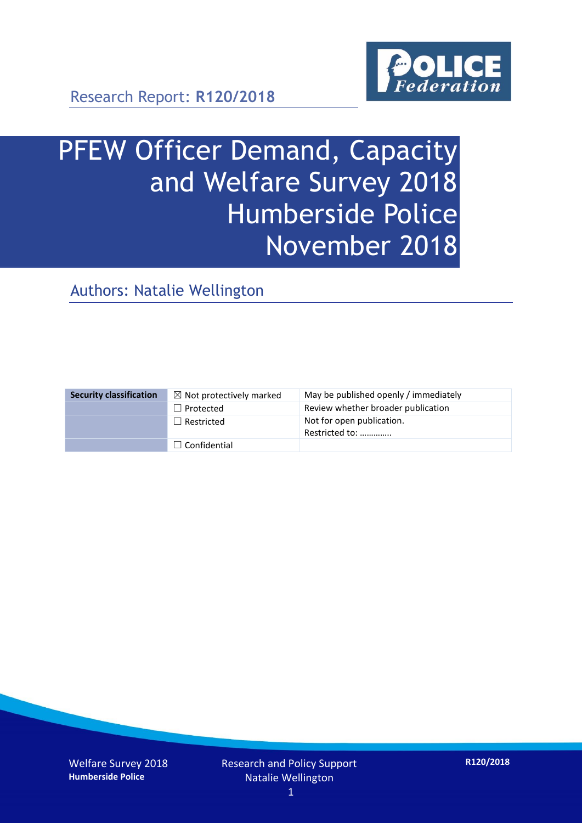

Research Report: **R120/2018**

# PFEW Officer Demand, Capacity and Welfare Survey 2018 Humberside Police November 2018

Authors: Natalie Wellington

| <b>Security classification</b> | $\boxtimes$ Not protectively marked | May be published openly / immediately       |
|--------------------------------|-------------------------------------|---------------------------------------------|
|                                | $\Box$ Protected                    | Review whether broader publication          |
|                                | $\Box$ Restricted                   | Not for open publication.<br>Restricted to: |
|                                | $\Box$ Confidential                 |                                             |

Welfare Survey 2018 **Humberside Police**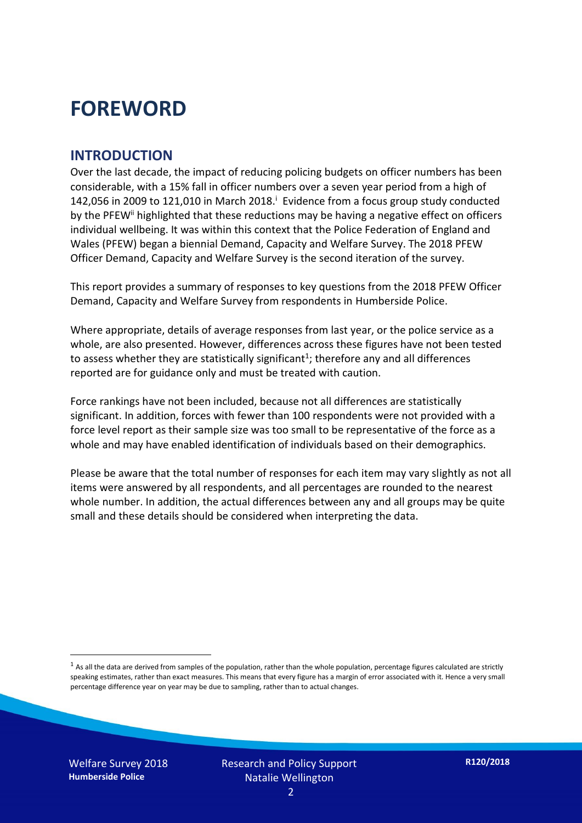### **FOREWORD**

#### **INTRODUCTION**

Over the last decade, the impact of reducing policing budgets on officer numbers has been considerable, with a 15% fall in officer numbers over a seven year period from a high of 142,056 in 2009 to 121,010 in March 2018. $^{\mathrm{i}}$  Evidence from a focus group study conducted by the PFEW<sup>ii</sup> highlighted that these reductions may be having a negative effect on officers individual wellbeing. It was within this context that the Police Federation of England and Wales (PFEW) began a biennial Demand, Capacity and Welfare Survey. The 2018 PFEW Officer Demand, Capacity and Welfare Survey is the second iteration of the survey.

This report provides a summary of responses to key questions from the 2018 PFEW Officer Demand, Capacity and Welfare Survey from respondents in Humberside Police.

Where appropriate, details of average responses from last year, or the police service as a whole, are also presented. However, differences across these figures have not been tested to assess whether they are statistically significant<sup>1</sup>; therefore any and all differences reported are for guidance only and must be treated with caution.

Force rankings have not been included, because not all differences are statistically significant. In addition, forces with fewer than 100 respondents were not provided with a force level report as their sample size was too small to be representative of the force as a whole and may have enabled identification of individuals based on their demographics.

Please be aware that the total number of responses for each item may vary slightly as not all items were answered by all respondents, and all percentages are rounded to the nearest whole number. In addition, the actual differences between any and all groups may be quite small and these details should be considered when interpreting the data.

Welfare Survey 2018 **Humberside Police**

-

 $<sup>1</sup>$  As all the data are derived from samples of the population, rather than the whole population, percentage figures calculated are strictly</sup> speaking estimates, rather than exact measures. This means that every figure has a margin of error associated with it. Hence a very small percentage difference year on year may be due to sampling, rather than to actual changes.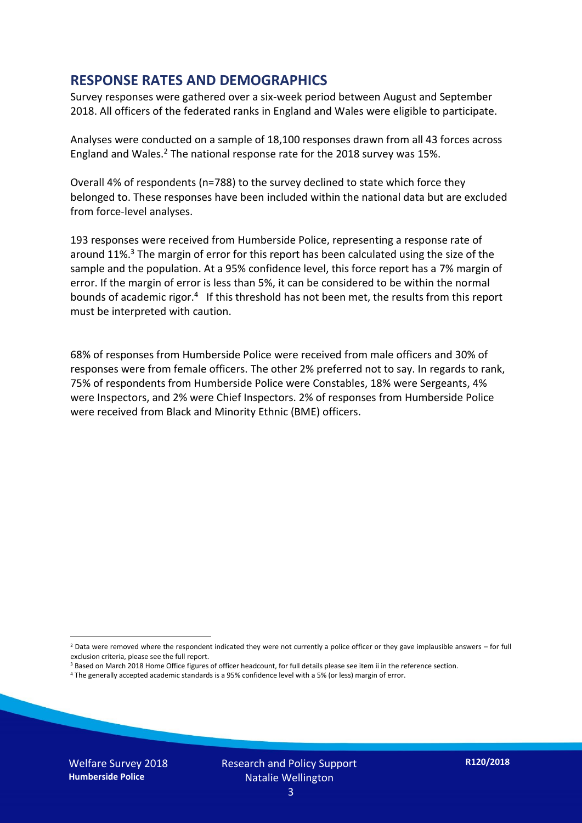#### **RESPONSE RATES AND DEMOGRAPHICS**

Survey responses were gathered over a six-week period between August and September 2018. All officers of the federated ranks in England and Wales were eligible to participate.

Analyses were conducted on a sample of 18,100 responses drawn from all 43 forces across England and Wales.<sup>2</sup> The national response rate for the 2018 survey was 15%.

Overall 4% of respondents (n=788) to the survey declined to state which force they belonged to. These responses have been included within the national data but are excluded from force-level analyses.

193 responses were received from Humberside Police, representing a response rate of around 11%.<sup>3</sup> The margin of error for this report has been calculated using the size of the sample and the population. At a 95% confidence level, this force report has a 7% margin of error. If the margin of error is less than 5%, it can be considered to be within the normal bounds of academic rigor.<sup>4</sup> If this threshold has not been met, the results from this report must be interpreted with caution.

68% of responses from Humberside Police were received from male officers and 30% of responses were from female officers. The other 2% preferred not to say. In regards to rank, 75% of respondents from Humberside Police were Constables, 18% were Sergeants, 4% were Inspectors, and 2% were Chief Inspectors. 2% of responses from Humberside Police were received from Black and Minority Ethnic (BME) officers.

-

 $2$  Data were removed where the respondent indicated they were not currently a police officer or they gave implausible answers – for full exclusion criteria, please see the full report.

<sup>3</sup> Based on March 2018 Home Office figures of officer headcount, for full details please see item ii in the reference section.

<sup>4</sup> The generally accepted academic standards is a 95% confidence level with a 5% (or less) margin of error.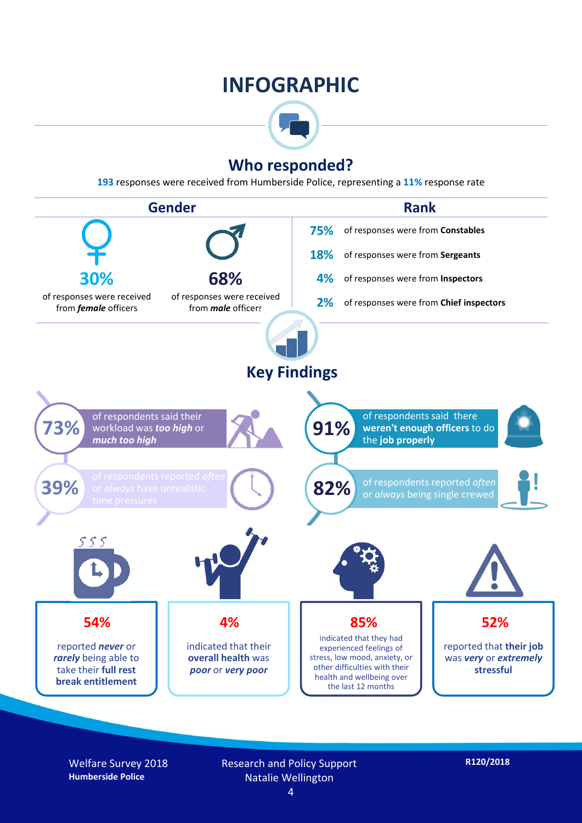### **INFOGRAPHIC**



#### **Who responded?**

**193** responses were received from Humberside Police, representing a **11%** response rate



Welfare Survey 2018 **Humberside Police**

Research and Policy Support Natalie Wellington

**R120/2018**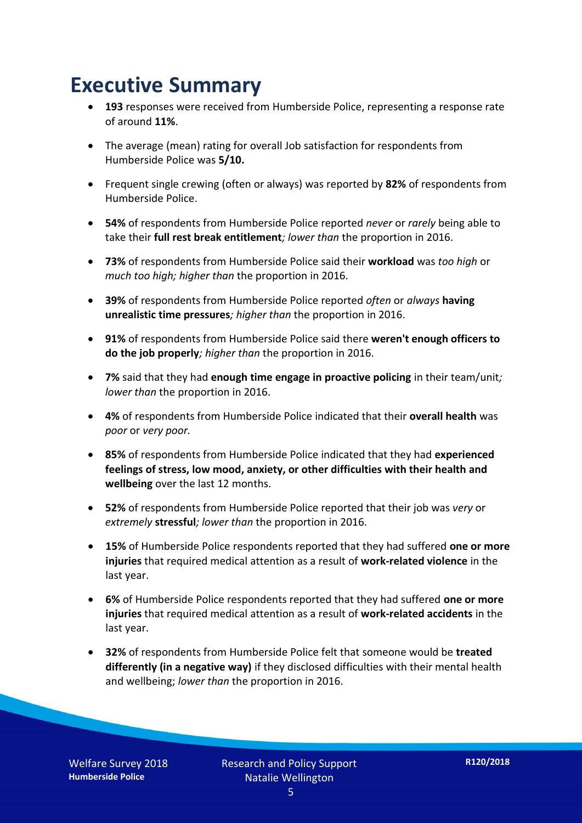### **Executive Summary**

- **193** responses were received from Humberside Police, representing a response rate of around **11%**.
- The average (mean) rating for overall Job satisfaction for respondents from Humberside Police was **5/10.**
- Frequent single crewing (often or always) was reported by **82%** of respondents from Humberside Police.
- **54%** of respondents from Humberside Police reported *never* or *rarely* being able to take their **full rest break entitlement***; lower than* the proportion in 2016.
- **73%** of respondents from Humberside Police said their **workload** was *too high* or *much too high; higher than* the proportion in 2016.
- **39%** of respondents from Humberside Police reported *often* or *always* **having unrealistic time pressures***; higher than* the proportion in 2016.
- **91%** of respondents from Humberside Police said there **weren't enough officers to do the job properly***; higher than* the proportion in 2016.
- **7%** said that they had **enough time engage in proactive policing** in their team/unit*; lower than* the proportion in 2016.
- **4%** of respondents from Humberside Police indicated that their **overall health** was *poor* or *very poor.*
- **85%** of respondents from Humberside Police indicated that they had **experienced feelings of stress, low mood, anxiety, or other difficulties with their health and wellbeing** over the last 12 months.
- **52%** of respondents from Humberside Police reported that their job was *very* or *extremely* **stressful***; lower than* the proportion in 2016.
- **15%** of Humberside Police respondents reported that they had suffered **one or more injuries** that required medical attention as a result of **work-related violence** in the last year.
- **6%** of Humberside Police respondents reported that they had suffered **one or more injuries** that required medical attention as a result of **work-related accidents** in the last year.
- **32%** of respondents from Humberside Police felt that someone would be **treated differently (in a negative way)** if they disclosed difficulties with their mental health and wellbeing; *lower than* the proportion in 2016.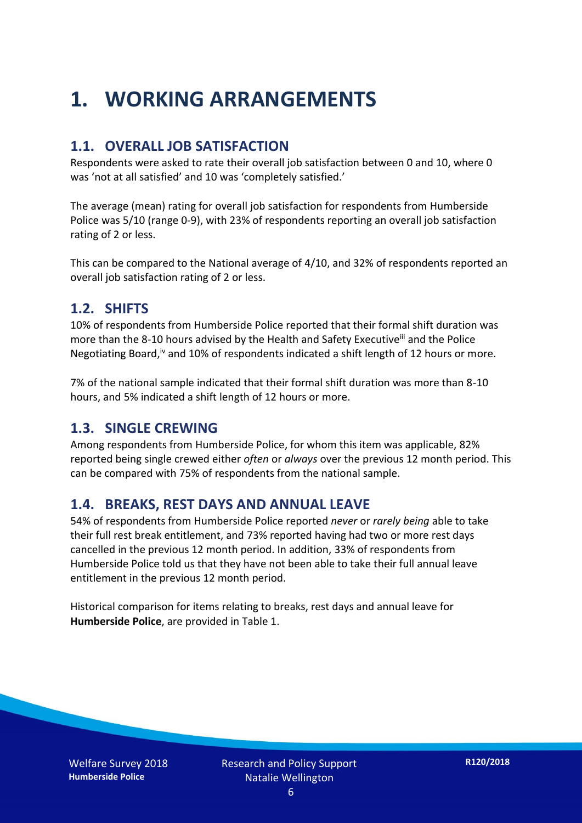## **1. WORKING ARRANGEMENTS**

#### **1.1. OVERALL JOB SATISFACTION**

Respondents were asked to rate their overall job satisfaction between 0 and 10, where 0 was 'not at all satisfied' and 10 was 'completely satisfied.'

The average (mean) rating for overall job satisfaction for respondents from Humberside Police was 5/10 (range 0-9), with 23% of respondents reporting an overall job satisfaction rating of 2 or less.

This can be compared to the National average of 4/10, and 32% of respondents reported an overall job satisfaction rating of 2 or less.

#### **1.2. SHIFTS**

10% of respondents from Humberside Police reported that their formal shift duration was more than the 8-10 hours advised by the Health and Safety Executive<sup>iii</sup> and the Police Negotiating Board,iv and 10% of respondents indicated a shift length of 12 hours or more.

7% of the national sample indicated that their formal shift duration was more than 8-10 hours, and 5% indicated a shift length of 12 hours or more.

#### **1.3. SINGLE CREWING**

Among respondents from Humberside Police, for whom this item was applicable, 82% reported being single crewed either *often* or *always* over the previous 12 month period. This can be compared with 75% of respondents from the national sample.

#### **1.4. BREAKS, REST DAYS AND ANNUAL LEAVE**

54% of respondents from Humberside Police reported *never* or *rarely being* able to take their full rest break entitlement, and 73% reported having had two or more rest days cancelled in the previous 12 month period. In addition, 33% of respondents from Humberside Police told us that they have not been able to take their full annual leave entitlement in the previous 12 month period.

Historical comparison for items relating to breaks, rest days and annual leave for **Humberside Police**, are provided in Table 1.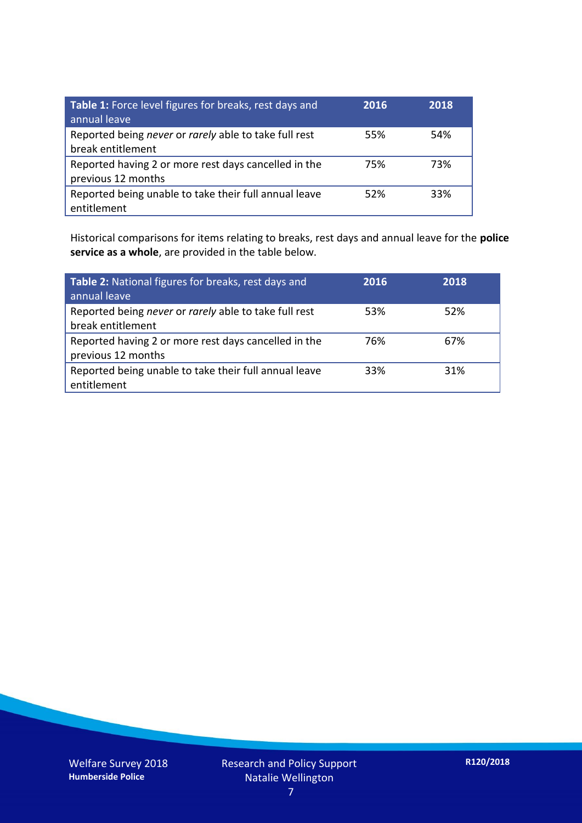| Table 1: Force level figures for breaks, rest days and<br>annual leave     | 2016 | 2018 |
|----------------------------------------------------------------------------|------|------|
| Reported being never or rarely able to take full rest<br>break entitlement | 55%  | 54%  |
| Reported having 2 or more rest days cancelled in the<br>previous 12 months | 75%  | 73%  |
| Reported being unable to take their full annual leave<br>entitlement       | 52%  | 33%  |

Historical comparisons for items relating to breaks, rest days and annual leave for the **police service as a whole**, are provided in the table below.

| Table 2: National figures for breaks, rest days and<br>annual leave        | 2016 | 2018 |
|----------------------------------------------------------------------------|------|------|
| Reported being never or rarely able to take full rest<br>break entitlement | 53%  | 52%  |
| Reported having 2 or more rest days cancelled in the<br>previous 12 months | 76%  | 67%  |
| Reported being unable to take their full annual leave<br>entitlement       | 33%  | 31%  |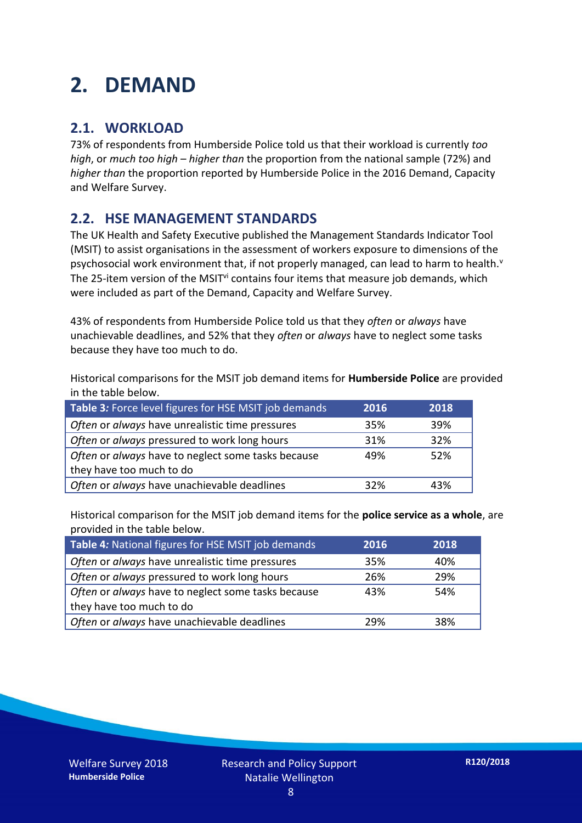## **2. DEMAND**

#### **2.1. WORKLOAD**

73% of respondents from Humberside Police told us that their workload is currently *too high*, or *much too high* – *higher than* the proportion from the national sample (72%) and *higher than* the proportion reported by Humberside Police in the 2016 Demand, Capacity and Welfare Survey.

#### **2.2. HSE MANAGEMENT STANDARDS**

The UK Health and Safety Executive published the Management Standards Indicator Tool (MSIT) to assist organisations in the assessment of workers exposure to dimensions of the psychosocial work environment that, if not properly managed, can lead to harm to health.<sup>v</sup> The 25-item version of the MSIT<sup>vi</sup> contains four items that measure job demands, which were included as part of the Demand, Capacity and Welfare Survey.

43% of respondents from Humberside Police told us that they *often* or *always* have unachievable deadlines, and 52% that they *often* or *always* have to neglect some tasks because they have too much to do.

Historical comparisons for the MSIT job demand items for **Humberside Police** are provided in the table below.

| Table 3: Force level figures for HSE MSIT job demands | 2016 | 2018 |
|-------------------------------------------------------|------|------|
| Often or always have unrealistic time pressures       | 35%  | 39%  |
| Often or always pressured to work long hours          | 31%  | 32%  |
| Often or always have to neglect some tasks because    | 49%  | 52%  |
| they have too much to do                              |      |      |
| Often or always have unachievable deadlines           | 32%  | 43%  |

Historical comparison for the MSIT job demand items for the **police service as a whole**, are provided in the table below.

| Table 4: National figures for HSE MSIT job demands | 2016 | 2018 |
|----------------------------------------------------|------|------|
| Often or always have unrealistic time pressures    | 35%  | 40%  |
| Often or always pressured to work long hours       | 26%  | 29%  |
| Often or always have to neglect some tasks because | 43%  | 54%  |
| they have too much to do                           |      |      |
| Often or always have unachievable deadlines        | 29%  | 38%  |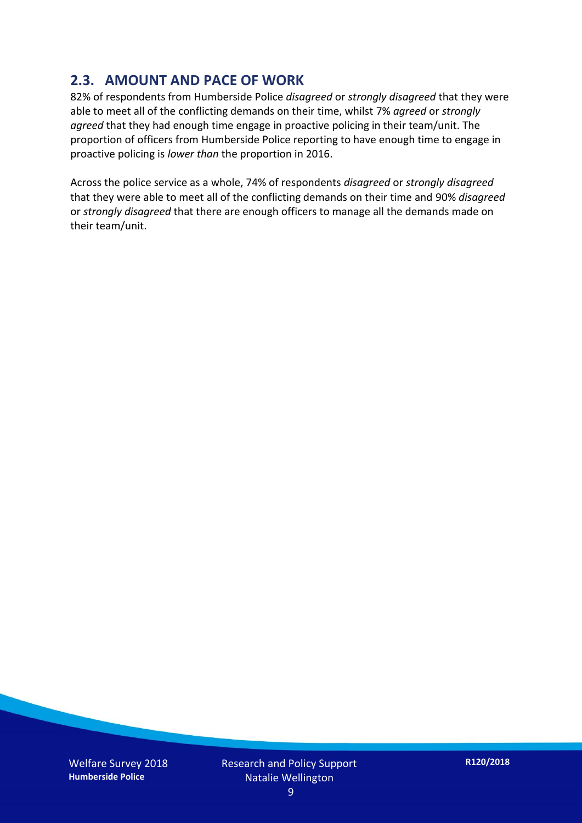#### **2.3. AMOUNT AND PACE OF WORK**

82% of respondents from Humberside Police *disagreed* or *strongly disagreed* that they were able to meet all of the conflicting demands on their time, whilst 7% *agreed* or *strongly agreed* that they had enough time engage in proactive policing in their team/unit. The proportion of officers from Humberside Police reporting to have enough time to engage in proactive policing is *lower than* the proportion in 2016.

Across the police service as a whole, 74% of respondents *disagreed* or *strongly disagreed* that they were able to meet all of the conflicting demands on their time and 90% *disagreed* or *strongly disagreed* that there are enough officers to manage all the demands made on their team/unit.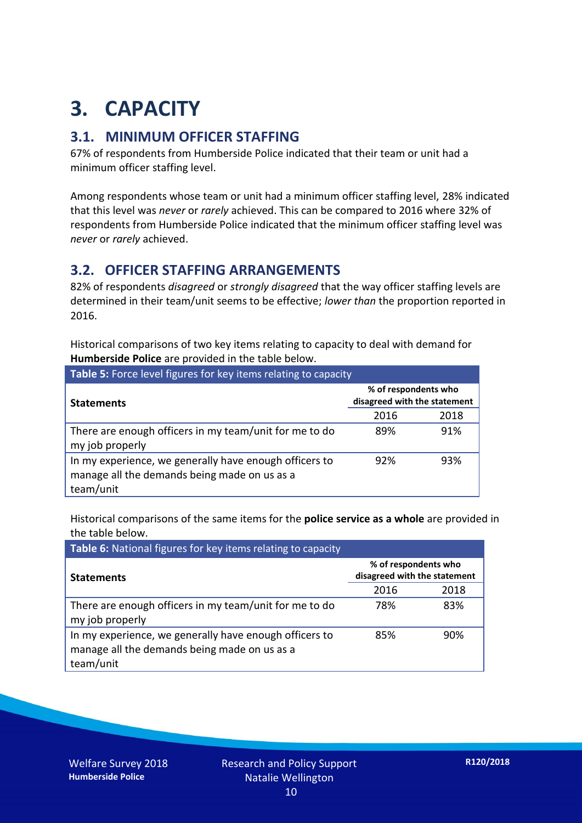## **3. CAPACITY**

#### **3.1. MINIMUM OFFICER STAFFING**

67% of respondents from Humberside Police indicated that their team or unit had a minimum officer staffing level.

Among respondents whose team or unit had a minimum officer staffing level, 28% indicated that this level was *never* or *rarely* achieved. This can be compared to 2016 where 32% of respondents from Humberside Police indicated that the minimum officer staffing level was *never* or *rarely* achieved.

#### **3.2. OFFICER STAFFING ARRANGEMENTS**

82% of respondents *disagreed* or *strongly disagreed* that the way officer staffing levels are determined in their team/unit seems to be effective; *lower than* the proportion reported in 2016.

Historical comparisons of two key items relating to capacity to deal with demand for **Humberside Police** are provided in the table below.

| <b>Table 5:</b> Force level figures for key items relating to capacity                                              |                                                      |      |  |
|---------------------------------------------------------------------------------------------------------------------|------------------------------------------------------|------|--|
| <b>Statements</b>                                                                                                   | % of respondents who<br>disagreed with the statement |      |  |
|                                                                                                                     | 2016                                                 | 2018 |  |
| There are enough officers in my team/unit for me to do<br>my job properly                                           | 89%                                                  | 91%  |  |
| In my experience, we generally have enough officers to<br>manage all the demands being made on us as a<br>team/unit | 92%                                                  | 93%  |  |

Historical comparisons of the same items for the **police service as a whole** are provided in the table below.

| Table 6: National figures for key items relating to capacity                                                        |                                                      |      |  |  |
|---------------------------------------------------------------------------------------------------------------------|------------------------------------------------------|------|--|--|
| <b>Statements</b>                                                                                                   | % of respondents who<br>disagreed with the statement |      |  |  |
|                                                                                                                     | 2016                                                 | 2018 |  |  |
| There are enough officers in my team/unit for me to do<br>my job properly                                           | 78%                                                  | 83%  |  |  |
| In my experience, we generally have enough officers to<br>manage all the demands being made on us as a<br>team/unit | 85%                                                  | 90%  |  |  |

Welfare Survey 2018 **Humberside Police**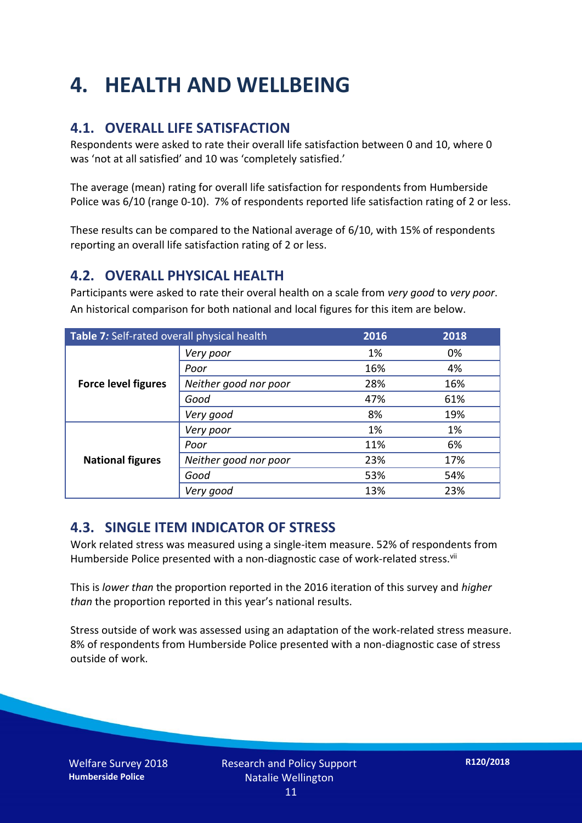## **4. HEALTH AND WELLBEING**

#### **4.1. OVERALL LIFE SATISFACTION**

Respondents were asked to rate their overall life satisfaction between 0 and 10, where 0 was 'not at all satisfied' and 10 was 'completely satisfied.'

The average (mean) rating for overall life satisfaction for respondents from Humberside Police was 6/10 (range 0-10). 7% of respondents reported life satisfaction rating of 2 or less.

These results can be compared to the National average of 6/10, with 15% of respondents reporting an overall life satisfaction rating of 2 or less.

#### **4.2. OVERALL PHYSICAL HEALTH**

Participants were asked to rate their overal health on a scale from *very good* to *very poor*. An historical comparison for both national and local figures for this item are below.

| Table 7: Self-rated overall physical health |                       | 2016 | 2018 |
|---------------------------------------------|-----------------------|------|------|
|                                             | Very poor             | 1%   | 0%   |
| <b>Force level figures</b>                  | Poor                  | 16%  | 4%   |
|                                             | Neither good nor poor | 28%  | 16%  |
|                                             | Good                  | 47%  | 61%  |
|                                             | Very good             | 8%   | 19%  |
| <b>National figures</b>                     | Very poor             | 1%   | 1%   |
|                                             | Poor                  | 11%  | 6%   |
|                                             | Neither good nor poor | 23%  | 17%  |
|                                             | Good                  | 53%  | 54%  |
|                                             | Very good             | 13%  | 23%  |

#### **4.3. SINGLE ITEM INDICATOR OF STRESS**

Work related stress was measured using a single-item measure. 52% of respondents from Humberside Police presented with a non-diagnostic case of work-related stress.<sup>vii</sup>

This is *lower than* the proportion reported in the 2016 iteration of this survey and *higher than* the proportion reported in this year's national results.

Stress outside of work was assessed using an adaptation of the work-related stress measure. 8% of respondents from Humberside Police presented with a non-diagnostic case of stress outside of work.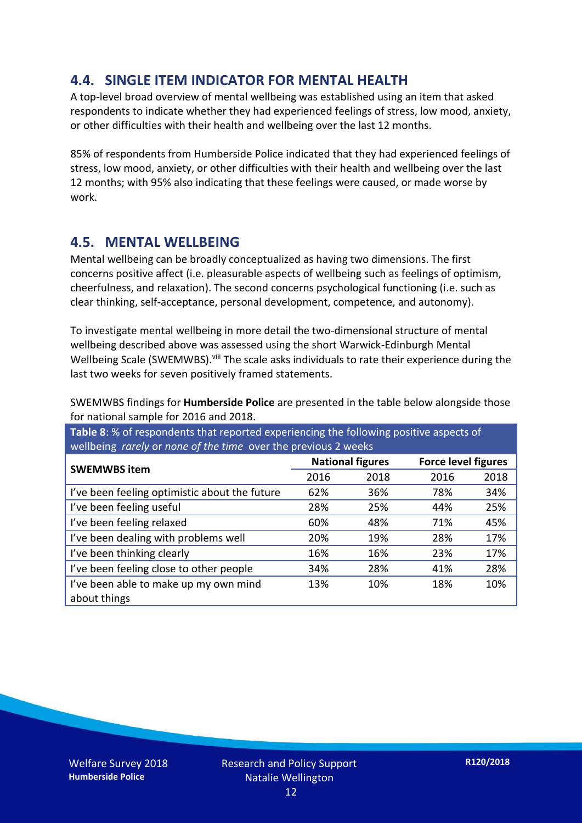#### **4.4. SINGLE ITEM INDICATOR FOR MENTAL HEALTH**

A top-level broad overview of mental wellbeing was established using an item that asked respondents to indicate whether they had experienced feelings of stress, low mood, anxiety, or other difficulties with their health and wellbeing over the last 12 months.

85% of respondents from Humberside Police indicated that they had experienced feelings of stress, low mood, anxiety, or other difficulties with their health and wellbeing over the last 12 months; with 95% also indicating that these feelings were caused, or made worse by work.

#### **4.5. MENTAL WELLBEING**

Mental wellbeing can be broadly conceptualized as having two dimensions. The first concerns positive affect (i.e. pleasurable aspects of wellbeing such as feelings of optimism, cheerfulness, and relaxation). The second concerns psychological functioning (i.e. such as clear thinking, self-acceptance, personal development, competence, and autonomy).

To investigate mental wellbeing in more detail the two-dimensional structure of mental wellbeing described above was assessed using the short Warwick-Edinburgh Mental Wellbeing Scale (SWEMWBS). viii The scale asks individuals to rate their experience during the last two weeks for seven positively framed statements.

SWEMWBS findings for **Humberside Police** are presented in the table below alongside those for national sample for 2016 and 2018.

**Table 8**: % of respondents that reported experiencing the following positive aspects of wellbeing *rarely* or *none of the time* over the previous 2 weeks

| <b>SWEMWBS item</b>                           | <b>National figures</b> |      | <b>Force level figures</b> |      |
|-----------------------------------------------|-------------------------|------|----------------------------|------|
|                                               | 2016                    | 2018 | 2016                       | 2018 |
| I've been feeling optimistic about the future | 62%                     | 36%  | 78%                        | 34%  |
| I've been feeling useful                      | 28%                     | 25%  | 44%                        | 25%  |
| I've been feeling relaxed                     | 60%                     | 48%  | 71%                        | 45%  |
| I've been dealing with problems well          | 20%                     | 19%  | 28%                        | 17%  |
| I've been thinking clearly                    | 16%                     | 16%  | 23%                        | 17%  |
| I've been feeling close to other people       | 34%                     | 28%  | 41%                        | 28%  |
| I've been able to make up my own mind         | 13%                     | 10%  | 18%                        | 10%  |
| about things                                  |                         |      |                            |      |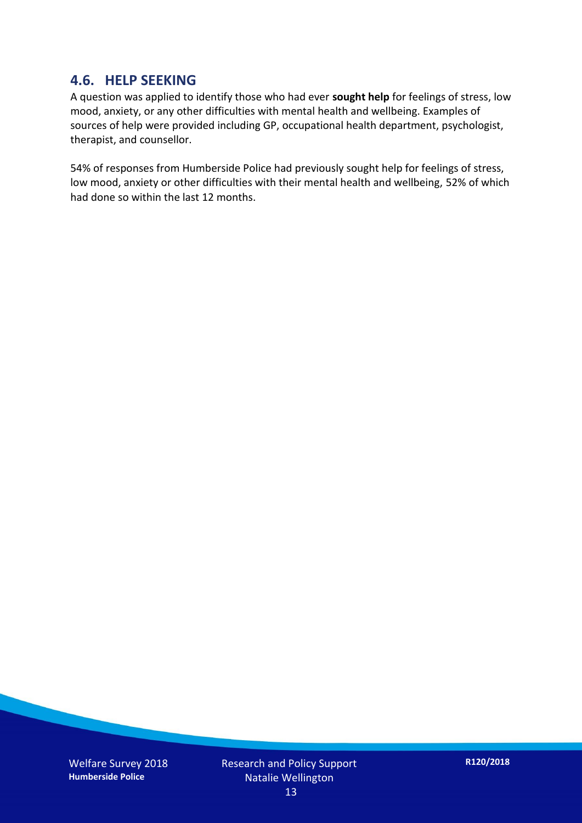#### **4.6. HELP SEEKING**

A question was applied to identify those who had ever **sought help** for feelings of stress, low mood, anxiety, or any other difficulties with mental health and wellbeing. Examples of sources of help were provided including GP, occupational health department, psychologist, therapist, and counsellor.

54% of responses from Humberside Police had previously sought help for feelings of stress, low mood, anxiety or other difficulties with their mental health and wellbeing, 52% of which had done so within the last 12 months.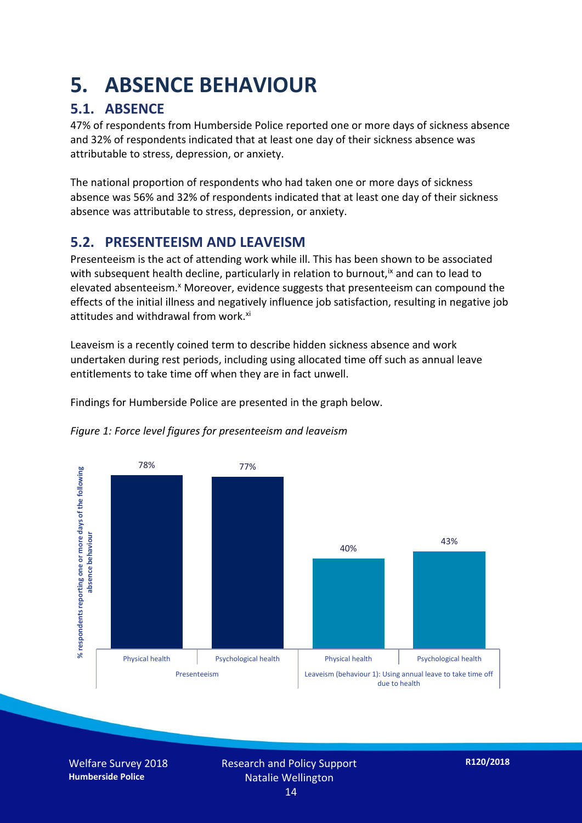## **5. ABSENCE BEHAVIOUR**

#### **5.1. ABSENCE**

47% of respondents from Humberside Police reported one or more days of sickness absence and 32% of respondents indicated that at least one day of their sickness absence was attributable to stress, depression, or anxiety.

The national proportion of respondents who had taken one or more days of sickness absence was 56% and 32% of respondents indicated that at least one day of their sickness absence was attributable to stress, depression, or anxiety.

#### **5.2. PRESENTEEISM AND LEAVEISM**

Presenteeism is the act of attending work while ill. This has been shown to be associated with subsequent health decline, particularly in relation to burnout,  $\alpha$  and can to lead to elevated absenteeism.<sup>x</sup> Moreover, evidence suggests that presenteeism can compound the effects of the initial illness and negatively influence job satisfaction, resulting in negative job attitudes and withdrawal from work.<sup>xi</sup>

Leaveism is a recently coined term to describe hidden sickness absence and work undertaken during rest periods, including using allocated time off such as annual leave entitlements to take time off when they are in fact unwell.

Findings for Humberside Police are presented in the graph below.



#### *Figure 1: Force level figures for presenteeism and leaveism*

Welfare Survey 2018 **Humberside Police**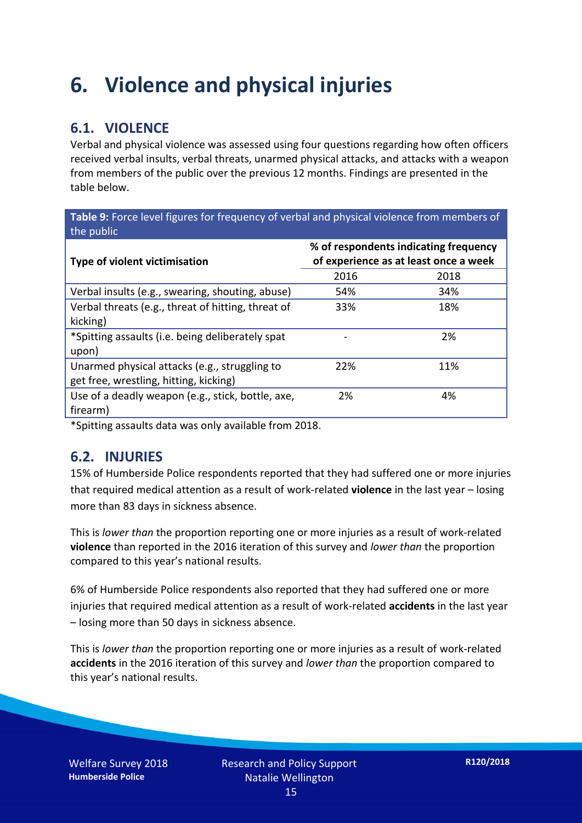### **6. Violence and physical injuries**

#### **6.1. VIOLENCE**

Verbal and physical violence was assessed using four questions regarding how often officers received verbal insults, verbal threats, unarmed physical attacks, and attacks with a weapon from members of the public over the previous 12 months. Findings are presented in the table below.

**Table 9:** Force level figures for frequency of verbal and physical violence from members of the public

| <b>Type of violent victimisation</b>               | % of respondents indicating frequency<br>of experience as at least once a week |      |  |
|----------------------------------------------------|--------------------------------------------------------------------------------|------|--|
|                                                    | 2016                                                                           | 2018 |  |
| Verbal insults (e.g., swearing, shouting, abuse)   | 54%                                                                            | 34%  |  |
| Verbal threats (e.g., threat of hitting, threat of | 33%                                                                            | 18%  |  |
| kicking)                                           |                                                                                |      |  |
| *Spitting assaults (i.e. being deliberately spat   |                                                                                | 2%   |  |
| upon)                                              |                                                                                |      |  |
| Unarmed physical attacks (e.g., struggling to      | 22%                                                                            | 11%  |  |
| get free, wrestling, hitting, kicking)             |                                                                                |      |  |
| Use of a deadly weapon (e.g., stick, bottle, axe,  | 2%                                                                             | 4%   |  |
| firearm)                                           |                                                                                |      |  |

\*Spitting assaults data was only available from 2018.

#### **6.2. INJURIES**

15% of Humberside Police respondents reported that they had suffered one or more injuries that required medical attention as a result of work-related **violence** in the last year – losing more than 83 days in sickness absence.

This is *lower than* the proportion reporting one or more injuries as a result of work-related **violence** than reported in the 2016 iteration of this survey and *lower than* the proportion compared to this year's national results.

6% of Humberside Police respondents also reported that they had suffered one or more injuries that required medical attention as a result of work-related **accidents** in the last year – losing more than 50 days in sickness absence.

This is *lower than* the proportion reporting one or more injuries as a result of work-related **accidents** in the 2016 iteration of this survey and *lower than* the proportion compared to this year's national results.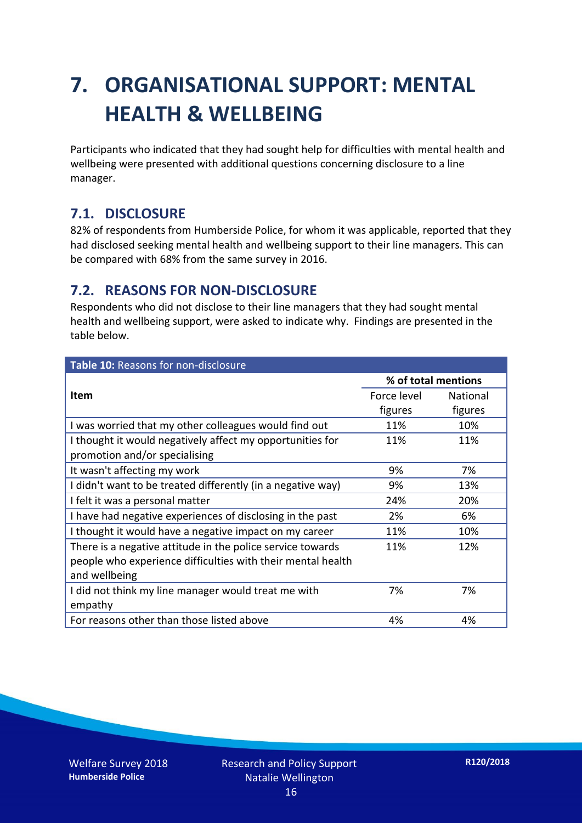## **7. ORGANISATIONAL SUPPORT: MENTAL HEALTH & WELLBEING**

Participants who indicated that they had sought help for difficulties with mental health and wellbeing were presented with additional questions concerning disclosure to a line manager.

#### **7.1. DISCLOSURE**

82% of respondents from Humberside Police, for whom it was applicable, reported that they had disclosed seeking mental health and wellbeing support to their line managers. This can be compared with 68% from the same survey in 2016.

#### **7.2. REASONS FOR NON-DISCLOSURE**

Respondents who did not disclose to their line managers that they had sought mental health and wellbeing support, were asked to indicate why. Findings are presented in the table below.

| Table 10: Reasons for non-disclosure                        |                     |                 |
|-------------------------------------------------------------|---------------------|-----------------|
|                                                             | % of total mentions |                 |
| Item                                                        | Force level         | <b>National</b> |
|                                                             | figures             | figures         |
| I was worried that my other colleagues would find out       | 11%                 | 10%             |
| I thought it would negatively affect my opportunities for   | 11%                 | 11%             |
| promotion and/or specialising                               |                     |                 |
| It wasn't affecting my work                                 | 9%                  | 7%              |
| I didn't want to be treated differently (in a negative way) | 9%                  | 13%             |
| I felt it was a personal matter                             | 24%                 | 20%             |
| I have had negative experiences of disclosing in the past   | 2%                  | 6%              |
| I thought it would have a negative impact on my career      | 11%                 | 10%             |
| There is a negative attitude in the police service towards  | 11%                 | 12%             |
| people who experience difficulties with their mental health |                     |                 |
| and wellbeing                                               |                     |                 |
| I did not think my line manager would treat me with         | 7%                  | 7%              |
| empathy                                                     |                     |                 |
| For reasons other than those listed above                   | 4%                  | 4%              |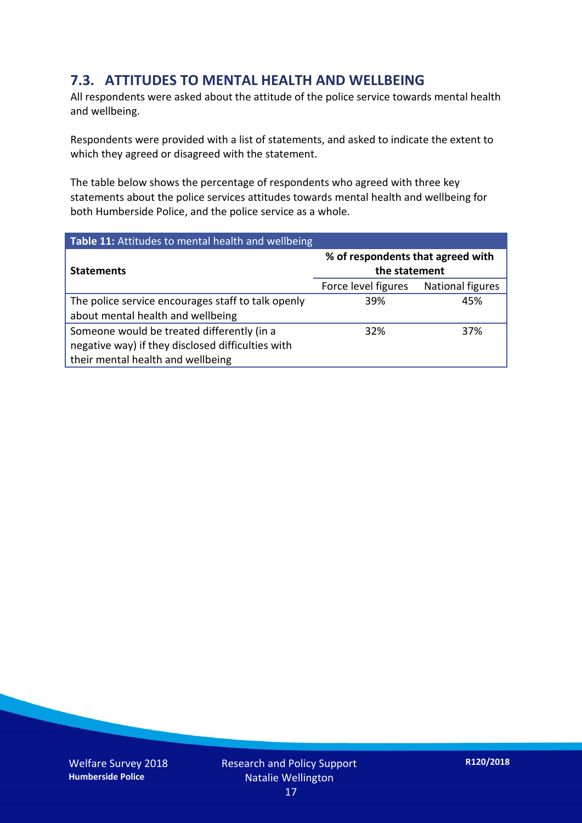#### **7.3. ATTITUDES TO MENTAL HEALTH AND WELLBEING**

All respondents were asked about the attitude of the police service towards mental health and wellbeing.

Respondents were provided with a list of statements, and asked to indicate the extent to which they agreed or disagreed with the statement.

The table below shows the percentage of respondents who agreed with three key statements about the police services attitudes towards mental health and wellbeing for both Humberside Police, and the police service as a whole.

| Table 11: Attitudes to mental health and wellbeing |                                                    |                         |  |
|----------------------------------------------------|----------------------------------------------------|-------------------------|--|
| <b>Statements</b>                                  | % of respondents that agreed with<br>the statement |                         |  |
|                                                    | Force level figures                                | <b>National figures</b> |  |
| The police service encourages staff to talk openly | 39%                                                | 45%                     |  |
| about mental health and wellbeing                  |                                                    |                         |  |
| Someone would be treated differently (in a         | 32%                                                | 37%                     |  |
| negative way) if they disclosed difficulties with  |                                                    |                         |  |
| their mental health and wellbeing                  |                                                    |                         |  |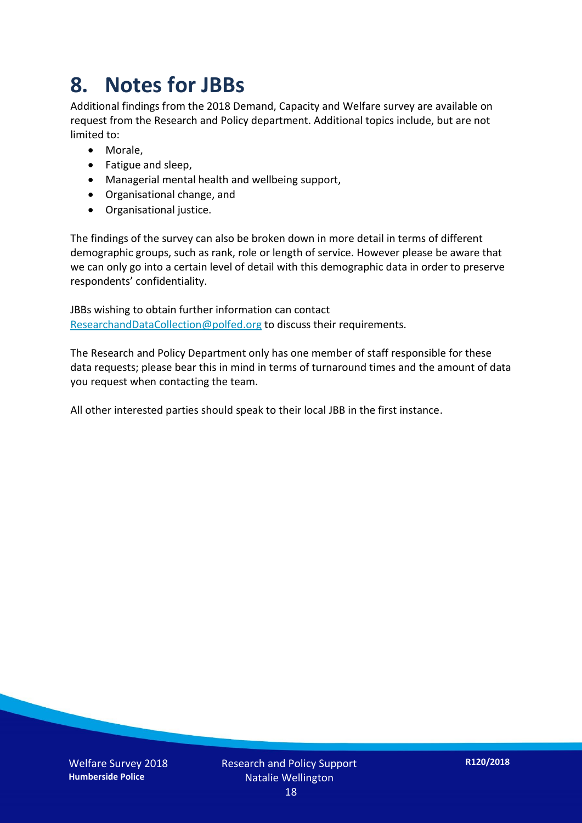### **8. Notes for JBBs**

Additional findings from the 2018 Demand, Capacity and Welfare survey are available on request from the Research and Policy department. Additional topics include, but are not limited to:

- Morale,
- Fatigue and sleep,
- Managerial mental health and wellbeing support,
- Organisational change, and
- Organisational justice.

The findings of the survey can also be broken down in more detail in terms of different demographic groups, such as rank, role or length of service. However please be aware that we can only go into a certain level of detail with this demographic data in order to preserve respondents' confidentiality.

JBBs wishing to obtain further information can contact [ResearchandDataCollection@polfed.org](mailto:ResearchandDataCollection@polfed.org) to discuss their requirements.

The Research and Policy Department only has one member of staff responsible for these data requests; please bear this in mind in terms of turnaround times and the amount of data you request when contacting the team.

All other interested parties should speak to their local JBB in the first instance.